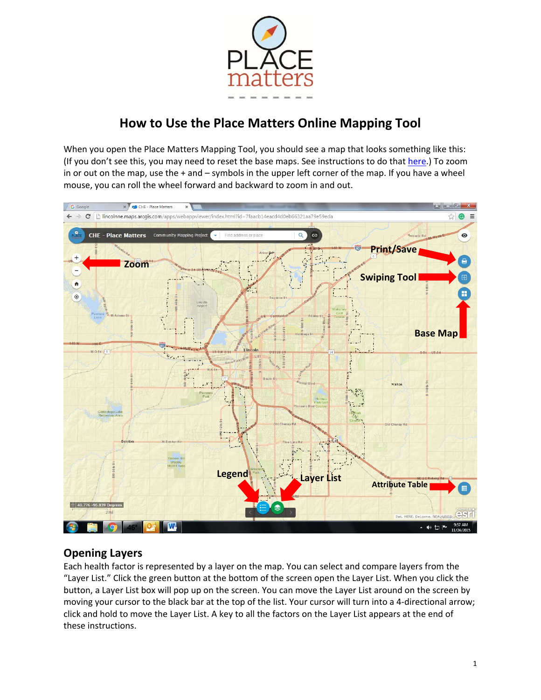

# **How to Use the Place Matters Online Mapping Tool**

When you open the Place Matters Mapping Tool, you should see a map that looks something like this: (If you don't see this, you may need to reset the base maps. See instructions to do that here.) To zoom in or out on the map, use the + and – symbols in the upper left corner of the map. If you have a wheel mouse, you can roll the wheel forward and backward to zoom in and out.



#### **Opening Layers**

Each health factor is represented by a layer on the map. You can select and compare layers from the "Layer List." Click the green button at the bottom of the screen open the Layer List. When you click the button, a Layer List box will pop up on the screen. You can move the Layer List around on the screen by moving your cursor to the black bar at the top of the list. Your cursor will turn into a 4‐directional arrow; click and hold to move the Layer List. A key to all the factors on the Layer List appears at the end of these instructions.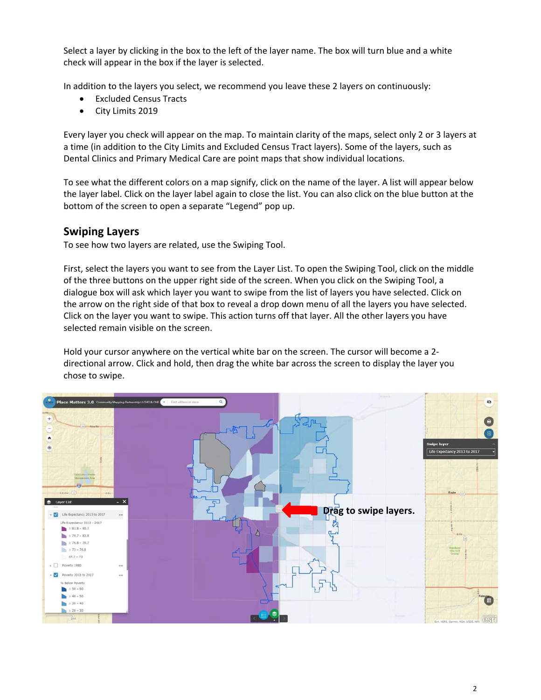Select a layer by clicking in the box to the left of the layer name. The box will turn blue and a white check will appear in the box if the layer is selected.

In addition to the layers you select, we recommend you leave these 2 layers on continuously:

- Excluded Census Tracts
- City Limits 2019

Every layer you check will appear on the map. To maintain clarity of the maps, select only 2 or 3 layers at a time (in addition to the City Limits and Excluded Census Tract layers). Some of the layers, such as Dental Clinics and Primary Medical Care are point maps that show individual locations.

To see what the different colors on a map signify, click on the name of the layer. A list will appear below the layer label. Click on the layer label again to close the list. You can also click on the blue button at the bottom of the screen to open a separate "Legend" pop up.

#### **Swiping Layers**

To see how two layers are related, use the Swiping Tool.

First, select the layers you want to see from the Layer List. To open the Swiping Tool, click on the middle of the three buttons on the upper right side of the screen. When you click on the Swiping Tool, a dialogue box will ask which layer you want to swipe from the list of layers you have selected. Click on the arrow on the right side of that box to reveal a drop down menu of all the layers you have selected. Click on the layer you want to swipe. This action turns off that layer. All the other layers you have selected remain visible on the screen.

Hold your cursor anywhere on the vertical white bar on the screen. The cursor will become a 2‐ directional arrow. Click and hold, then drag the white bar across the screen to display the layer you chose to swipe.

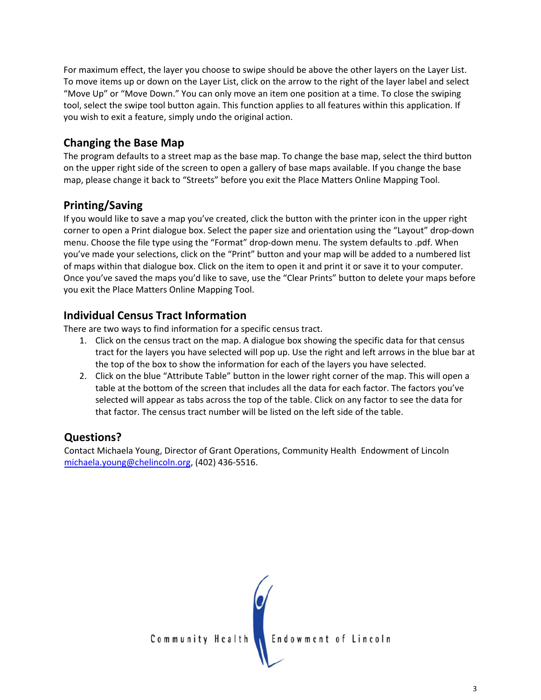For maximum effect, the layer you choose to swipe should be above the other layers on the Layer List. To move items up or down on the Layer List, click on the arrow to the right of the layer label and select "Move Up" or "Move Down." You can only move an item one position at a time. To close the swiping tool, select the swipe tool button again. This function applies to all features within this application. If you wish to exit a feature, simply undo the original action.

### **Changing the Base Map**

The program defaults to a street map as the base map. To change the base map, select the third button on the upper right side of the screen to open a gallery of base maps available. If you change the base map, please change it back to "Streets" before you exit the Place Matters Online Mapping Tool.

### **Printing/Saving**

If you would like to save a map you've created, click the button with the printer icon in the upper right corner to open a Print dialogue box. Select the paper size and orientation using the "Layout" drop‐down menu. Choose the file type using the "Format" drop-down menu. The system defaults to .pdf. When you've made your selections, click on the "Print" button and your map will be added to a numbered list of maps within that dialogue box. Click on the item to open it and print it or save it to your computer. Once you've saved the maps you'd like to save, use the "Clear Prints" button to delete your maps before you exit the Place Matters Online Mapping Tool.

### **Individual Census Tract Information**

There are two ways to find information for a specific census tract.

- 1. Click on the census tract on the map. A dialogue box showing the specific data for that census tract for the layers you have selected will pop up. Use the right and left arrows in the blue bar at the top of the box to show the information for each of the layers you have selected.
- 2. Click on the blue "Attribute Table" button in the lower right corner of the map. This will open a table at the bottom of the screen that includes all the data for each factor. The factors you've selected will appear as tabs across the top of the table. Click on any factor to see the data for that factor. The census tract number will be listed on the left side of the table.

## **Questions?**

Contact Michaela Young, Director of Grant Operations, Community Health Endowment of Lincoln michaela.young@chelincoln.org, (402) 436‐5516.